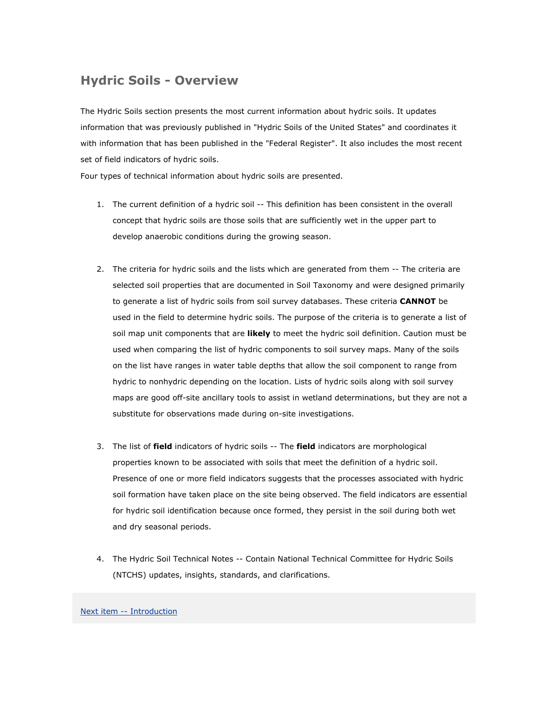# **Hydric Soils - Overview**

The Hydric Soils section presents the most current information about hydric soils. It updates information that was previously published in "Hydric Soils of the United States" and coordinates it with information that has been published in the "Federal Register". It also includes the most recent set of field indicators of hydric soils.

Four types of technical information about hydric soils are presented.

- 1. The current definition of a hydric soil -- This definition has been consistent in the overall concept that hydric soils are those soils that are sufficiently wet in the upper part to develop anaerobic conditions during the growing season.
- 2. The criteria for hydric soils and the lists which are generated from them -- The criteria are selected soil properties that are documented in Soil Taxonomy and were designed primarily to generate a list of hydric soils from soil survey databases. These criteria **CANNOT** be used in the field to determine hydric soils. The purpose of the criteria is to generate a list of soil map unit components that are **likely** to meet the hydric soil definition. Caution must be used when comparing the list of hydric components to soil survey maps. Many of the soils on the list have ranges in water table depths that allow the soil component to range from hydric to nonhydric depending on the location. Lists of hydric soils along with soil survey maps are good off-site ancillary tools to assist in wetland determinations, but they are not a substitute for observations made during on-site investigations.
- 3. The list of **field** indicators of hydric soils -- The **field** indicators are morphological properties known to be associated with soils that meet the definition of a hydric soil. Presence of one or more field indicators suggests that the processes associated with hydric soil formation have taken place on the site being observed. The field indicators are essential for hydric soil identification because once formed, they persist in the soil during both wet and dry seasonal periods.
- 4. The Hydric Soil Technical Notes -- Contain National Technical Committee for Hydric Soils (NTCHS) updates, insights, standards, and clarifications.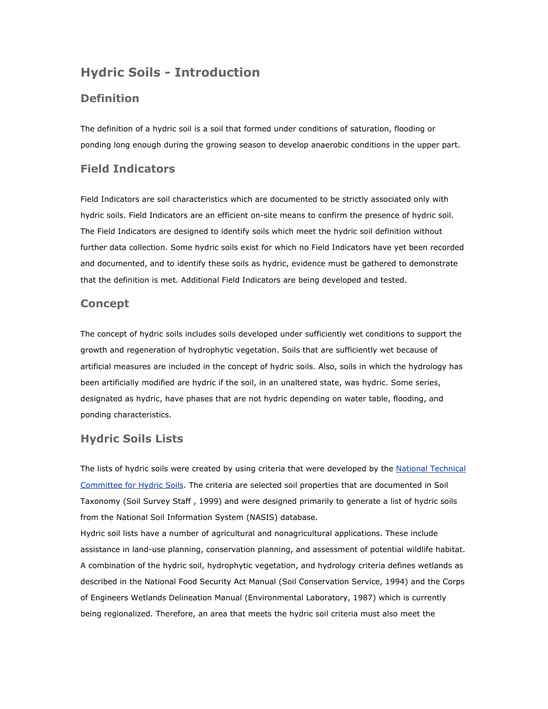## **Hydric Soils - Introduction**

### **Definition**

The definition of a hydric soil is a soil that formed under conditions of saturation, flooding or ponding long enough during the growing season to develop anaerobic conditions in the upper part.

### **Field Indicators**

Field Indicators are soil characteristics which are documented to be strictly associated only with hydric soils. Field Indicators are an efficient on-site means to confirm the presence of hydric soil. The Field Indicators are designed to identify soils which meet the hydric soil definition without further data collection. Some hydric soils exist for which no Field Indicators have yet been recorded and documented, and to identify these soils as hydric, evidence must be gathered to demonstrate that the definition is met. Additional Field Indicators are being developed and tested.

#### **Concept**

The concept of hydric soils includes soils developed under sufficiently wet conditions to support the growth and regeneration of hydrophytic vegetation. Soils that are sufficiently wet because of artificial measures are included in the concept of hydric soils. Also, soils in which the hydrology has been artificially modified are hydric if the soil, in an unaltered state, was hydric. Some series, designated as hydric, have phases that are not hydric depending on water table, flooding, and ponding characteristics.

#### **Hydric Soils Lists**

The lists of hydric soils were created by using criteria that were developed by the National Technical [Committee for Hydric Soils](http://soils.usda.gov/use/hydric/ntchs/index.html). The criteria are selected soil properties that are documented in Soil Taxonomy (Soil Survey Staff , 1999) and were designed primarily to generate a list of hydric soils from the National Soil Information System (NASIS) database.

Hydric soil lists have a number of agricultural and nonagricultural applications. These include assistance in land-use planning, conservation planning, and assessment of potential wildlife habitat. A combination of the hydric soil, hydrophytic vegetation, and hydrology criteria defines wetlands as described in the National Food Security Act Manual (Soil Conservation Service, 1994) and the Corps of Engineers Wetlands Delineation Manual (Environmental Laboratory, 1987) which is currently being regionalized. Therefore, an area that meets the hydric soil criteria must also meet the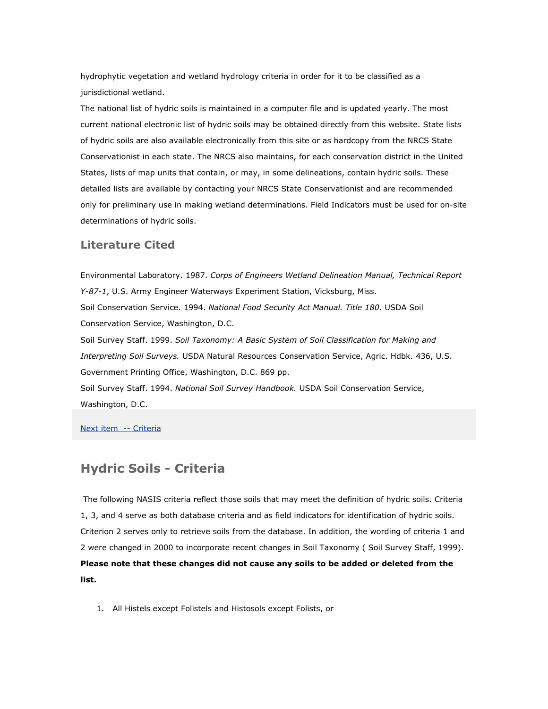hydrophytic vegetation and wetland hydrology criteria in order for it to be classified as a jurisdictional wetland.

The national list of hydric soils is maintained in a computer file and is updated yearly. The most current national electronic list of hydric soils may be obtained directly from this website. State lists of hydric soils are also available electronically from this site or as hardcopy from the NRCS State Conservationist in each state. The NRCS also maintains, for each conservation district in the United States, lists of map units that contain, or may, in some delineations, contain hydric soils. These detailed lists are available by contacting your NRCS State Conservationist and are recommended only for preliminary use in making wetland determinations. Field Indicators must be used for on-site determinations of hydric soils.

#### **Literature Cited**

Environmental Laboratory. 1987. *Corps of Engineers Wetland Delineation Manual, Technical Report Y-87-1*, U.S. Army Engineer Waterways Experiment Station, Vicksburg, Miss. Soil Conservation Service. 1994. *National Food Security Act Manual. Title 180.* USDA Soil Conservation Service, Washington, D.C. Soil Survey Staff. 1999. *Soil Taxonomy: A Basic System of Soil Classification for Making and Interpreting Soil Surveys.* USDA Natural Resources Conservation Service, Agric. Hdbk. 436, U.S. Government Printing Office, Washington, D.C. 869 pp. Soil Survey Staff. 1994. *National Soil Survey Handbook.* USDA Soil Conservation Service,

Washington, D.C.

[Next item -- Criteria](http://soils.usda.gov/use/hydric/criteria.html)

## **Hydric Soils - Criteria**

 The following NASIS criteria reflect those soils that may meet the definition of hydric soils. Criteria 1, 3, and 4 serve as both database criteria and as field indicators for identification of hydric soils. Criterion 2 serves only to retrieve soils from the database. In addition, the wording of criteria 1 and 2 were changed in 2000 to incorporate recent changes in Soil Taxonomy ( Soil Survey Staff, 1999). **Please note that these changes did not cause any soils to be added or deleted from the list.**

1. All Histels except Folistels and Histosols except Folists, or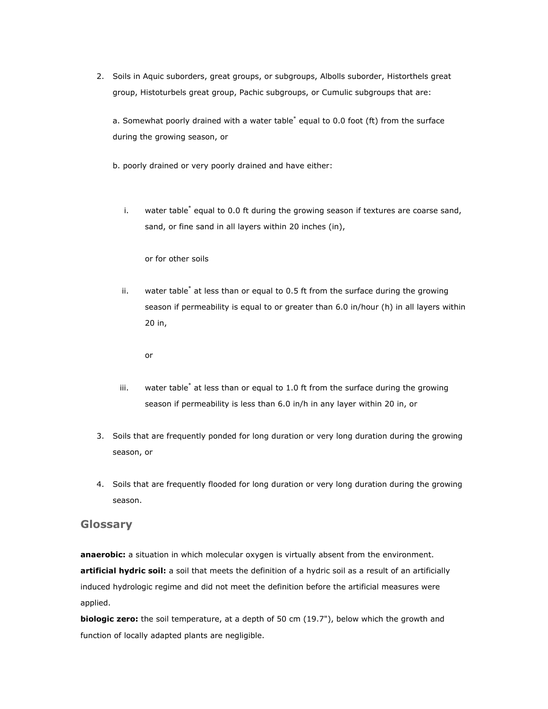2. Soils in Aquic suborders, great groups, or subgroups, Albolls suborder, Historthels great group, Histoturbels great group, Pachic subgroups, or Cumulic subgroups that are:

a. Somewhat poorly drained with a water table<sup>\*</sup> equal to 0.0 foot (ft) from the surface during the growing season, or

b. poorly drained or very poorly drained and have either:

i. water table<sup>\*</sup> equal to 0.0 ft during the growing season if textures are coarse sand, sand, or fine sand in all layers within 20 inches (in),

or for other soils

ii. water table\* at less than or equal to 0.5 ft from the surface during the growing season if permeability is equal to or greater than 6.0 in/hour (h) in all layers within 20 in,

or

- iii. water table\* at less than or equal to 1.0 ft from the surface during the growing season if permeability is less than 6.0 in/h in any layer within 20 in, or
- 3. Soils that are frequently ponded for long duration or very long duration during the growing season, or
- 4. Soils that are frequently flooded for long duration or very long duration during the growing season.

#### **Glossary**

**anaerobic:** a situation in which molecular oxygen is virtually absent from the environment. **artificial hydric soil:** a soil that meets the definition of a hydric soil as a result of an artificially induced hydrologic regime and did not meet the definition before the artificial measures were applied.

**biologic zero:** the soil temperature, at a depth of 50 cm (19.7"), below which the growth and function of locally adapted plants are negligible.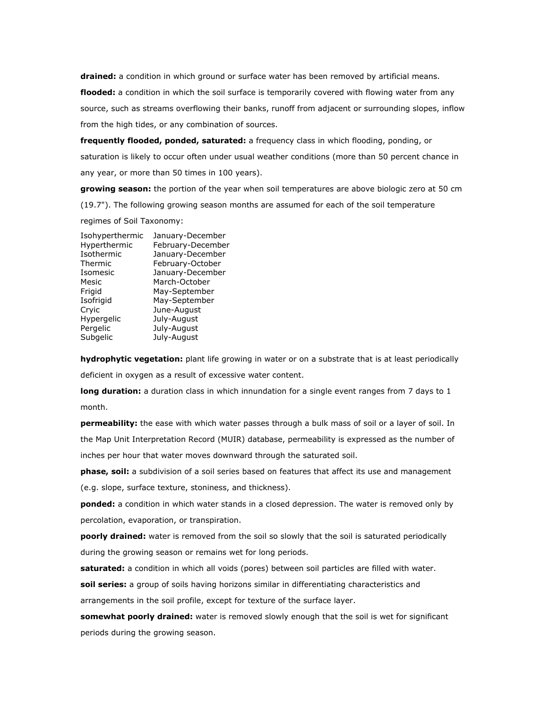**drained:** a condition in which ground or surface water has been removed by artificial means. **flooded:** a condition in which the soil surface is temporarily covered with flowing water from any source, such as streams overflowing their banks, runoff from adjacent or surrounding slopes, inflow from the high tides, or any combination of sources.

**frequently flooded, ponded, saturated:** a frequency class in which flooding, ponding, or saturation is likely to occur often under usual weather conditions (more than 50 percent chance in any year, or more than 50 times in 100 years).

**growing season:** the portion of the year when soil temperatures are above biologic zero at 50 cm (19.7"). The following growing season months are assumed for each of the soil temperature

regimes of Soil Taxonomy:

| Isohyperthermic | January-December  |
|-----------------|-------------------|
| Hyperthermic    | February-December |
| Isothermic      | January-December  |
| Thermic         | February-October  |
| Isomesic        | January-December  |
| Mesic           | March-October     |
| Frigid          | May-September     |
| Isofrigid       | May-September     |
| Cryic           | June-August       |
| Hypergelic      | July-August       |
| Pergelic        | July-August       |
| Subgelic        | July-August       |
|                 |                   |

**hydrophytic vegetation:** plant life growing in water or on a substrate that is at least periodically deficient in oxygen as a result of excessive water content.

**long duration:** a duration class in which innundation for a single event ranges from 7 days to 1 month.

**permeability:** the ease with which water passes through a bulk mass of soil or a layer of soil. In the Map Unit Interpretation Record (MUIR) database, permeability is expressed as the number of inches per hour that water moves downward through the saturated soil.

**phase, soil:** a subdivision of a soil series based on features that affect its use and management (e.g. slope, surface texture, stoniness, and thickness).

**ponded:** a condition in which water stands in a closed depression. The water is removed only by percolation, evaporation, or transpiration.

**poorly drained:** water is removed from the soil so slowly that the soil is saturated periodically during the growing season or remains wet for long periods.

**saturated:** a condition in which all voids (pores) between soil particles are filled with water.

**soil series:** a group of soils having horizons similar in differentiating characteristics and arrangements in the soil profile, except for texture of the surface layer.

**somewhat poorly drained:** water is removed slowly enough that the soil is wet for significant periods during the growing season.